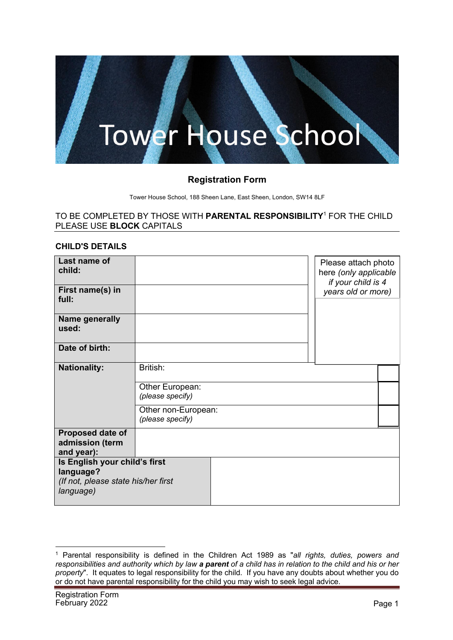# ower House School

## **Registration Form**

Tower House School, 188 Sheen Lane, East Sheen, London, SW14 8LF

#### TO BE COMPLETED BY THOSE WITH **PARENTAL RESPONSIBILITY**<sup>1</sup> FOR THE CHILD PLEASE USE **BLOCK** CAPITALS

#### **CHILD'S DETAILS**

| Last name of<br>child:<br>First name(s) in<br>full:                                            |                                                                                            | Please attach photo<br>here (only applicable<br>if your child is 4<br>years old or more) |  |
|------------------------------------------------------------------------------------------------|--------------------------------------------------------------------------------------------|------------------------------------------------------------------------------------------|--|
| <b>Name generally</b><br>used:                                                                 |                                                                                            |                                                                                          |  |
| Date of birth:                                                                                 |                                                                                            |                                                                                          |  |
| <b>Nationality:</b>                                                                            | British:<br>Other European:<br>(please specify)<br>Other non-European:<br>(please specify) |                                                                                          |  |
| Proposed date of<br>admission (term<br>and year):                                              |                                                                                            |                                                                                          |  |
| Is English your child's first<br>language?<br>(If not, please state his/her first<br>language) |                                                                                            |                                                                                          |  |

<sup>1</sup> Parental responsibility is defined in the Children Act 1989 as "*all rights, duties, powers and responsibilities and authority which by law a parent of a child has in relation to the child and his or her property*". It equates to legal responsibility for the child. If you have any doubts about whether you do or do not have parental responsibility for the child you may wish to seek legal advice.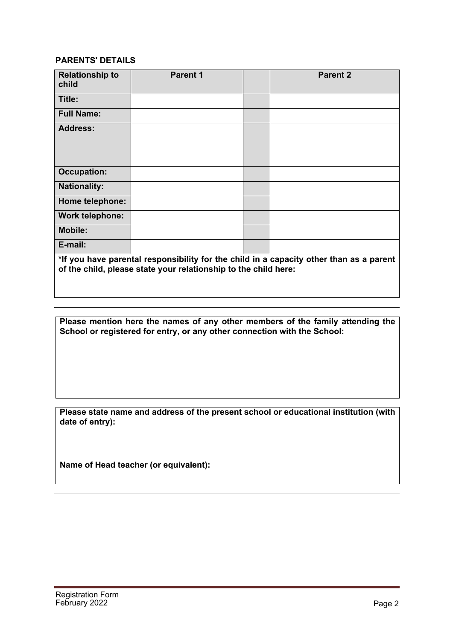## **PARENTS' DETAILS**

| <b>Relationship to</b><br>child                                                         | <b>Parent 1</b> |  | <b>Parent 2</b> |
|-----------------------------------------------------------------------------------------|-----------------|--|-----------------|
| Title:                                                                                  |                 |  |                 |
| <b>Full Name:</b>                                                                       |                 |  |                 |
| <b>Address:</b>                                                                         |                 |  |                 |
| <b>Occupation:</b>                                                                      |                 |  |                 |
| <b>Nationality:</b>                                                                     |                 |  |                 |
| Home telephone:                                                                         |                 |  |                 |
| <b>Work telephone:</b>                                                                  |                 |  |                 |
| <b>Mobile:</b>                                                                          |                 |  |                 |
| E-mail:                                                                                 |                 |  |                 |
| *If you have parental responsibility for the child in a capacity other than as a parent |                 |  |                 |

**\*If you have parental responsibility for the child in a capacity other than as a parent of the child, please state your relationship to the child here:**

**Please mention here the names of any other members of the family attending the School or registered for entry, or any other connection with the School:**

**Please state name and address of the present school or educational institution (with date of entry):**

**Name of Head teacher (or equivalent):**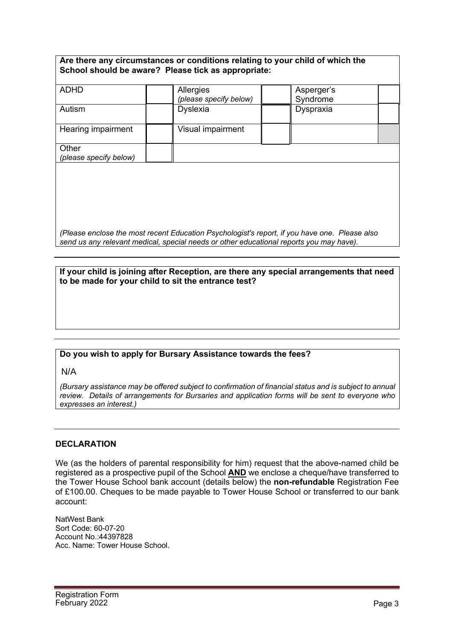| Are there any circumstances or conditions relating to your child of which the |  |
|-------------------------------------------------------------------------------|--|
| School should be aware? Please tick as appropriate:                           |  |

| <b>ADHD</b>            | Allergies              | Asperger's |  |
|------------------------|------------------------|------------|--|
|                        | (please specify below) | Syndrome   |  |
| Autism                 | <b>Dyslexia</b>        | Dyspraxia  |  |
|                        |                        |            |  |
| Hearing impairment     | Visual impairment      |            |  |
|                        |                        |            |  |
| Other                  |                        |            |  |
| (please specify below) |                        |            |  |
|                        |                        |            |  |

*(Please enclose the most recent Education Psychologist's report, if you have one. Please also send us any relevant medical, special needs or other educational reports you may have).*

## **If your child is joining after Reception, are there any special arrangements that need to be made for your child to sit the entrance test?**

## **Do you wish to apply for Bursary Assistance towards the fees?**

N/A

*(Bursary assistance may be offered subject to confirmation of financial status and is subject to annual review. Details of arrangements for Bursaries and application forms will be sent to everyone who expresses an interest.)*

#### **DECLARATION**

We (as the holders of parental responsibility for him) request that the above-named child be registered as a prospective pupil of the School **AND** we enclose a cheque/have transferred to the Tower House School bank account (details below) the **non-refundable** Registration Fee of £100.00. Cheques to be made payable to Tower House School or transferred to our bank account:

NatWest Bank Sort Code: 60-07-20 Account No.:44397828 Acc. Name: Tower House School.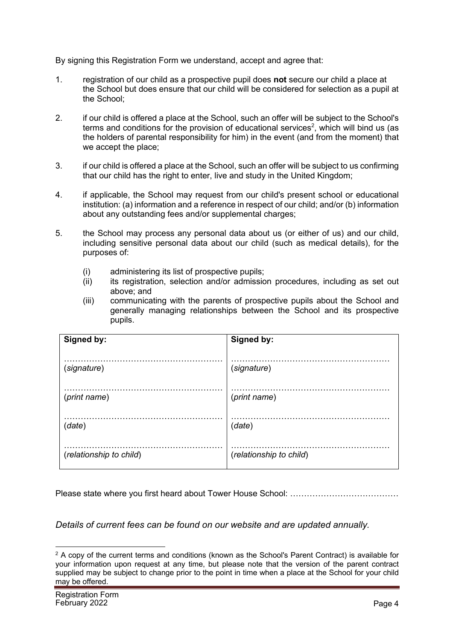By signing this Registration Form we understand, accept and agree that:

- 1. registration of our child as a prospective pupil does **not** secure our child a place at the School but does ensure that our child will be considered for selection as a pupil at the School;
- 2. if our child is offered a place at the School, such an offer will be subject to the School's terms and conditions for the provision of educational services<sup>2</sup>, which will bind us (as the holders of parental responsibility for him) in the event (and from the moment) that we accept the place;
- 3. if our child is offered a place at the School, such an offer will be subject to us confirming that our child has the right to enter, live and study in the United Kingdom;
- 4. if applicable, the School may request from our child's present school or educational institution: (a) information and a reference in respect of our child; and/or (b) information about any outstanding fees and/or supplemental charges;
- 5. the School may process any personal data about us (or either of us) and our child, including sensitive personal data about our child (such as medical details), for the purposes of:
	- (i) administering its list of prospective pupils;
	- (ii) its registration, selection and/or admission procedures, including as set out above; and
	- (iii) communicating with the parents of prospective pupils about the School and generally managing relationships between the School and its prospective pupils.

| Signed by:              | Signed by:              |
|-------------------------|-------------------------|
| (signature)             | (signature)             |
| (print name)            | (print name)            |
| (data)                  | (data)                  |
| (relationship to child) | (relationship to child) |

Please state where you first heard about Tower House School: …………………………………

*Details of current fees can be found on our website and are updated annually.* 

 $2$  A copy of the current terms and conditions (known as the School's Parent Contract) is available for your information upon request at any time, but please note that the version of the parent contract supplied may be subject to change prior to the point in time when a place at the School for your child may be offered.